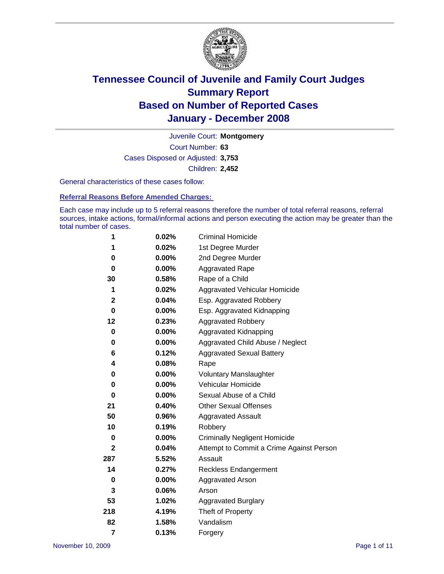

Court Number: **63** Juvenile Court: **Montgomery** Cases Disposed or Adjusted: **3,753** Children: **2,452**

General characteristics of these cases follow:

**Referral Reasons Before Amended Charges:** 

Each case may include up to 5 referral reasons therefore the number of total referral reasons, referral sources, intake actions, formal/informal actions and person executing the action may be greater than the total number of cases.

| 1              | 0.02%    | <b>Criminal Homicide</b>                 |
|----------------|----------|------------------------------------------|
| 1              | 0.02%    | 1st Degree Murder                        |
| 0              | $0.00\%$ | 2nd Degree Murder                        |
| 0              | $0.00\%$ | <b>Aggravated Rape</b>                   |
| 30             | 0.58%    | Rape of a Child                          |
| 1              | 0.02%    | Aggravated Vehicular Homicide            |
| $\mathbf{2}$   | 0.04%    | Esp. Aggravated Robbery                  |
| 0              | $0.00\%$ | Esp. Aggravated Kidnapping               |
| 12             | 0.23%    | <b>Aggravated Robbery</b>                |
| $\bf{0}$       | 0.00%    | Aggravated Kidnapping                    |
| 0              | 0.00%    | Aggravated Child Abuse / Neglect         |
| 6              | 0.12%    | <b>Aggravated Sexual Battery</b>         |
| 4              | 0.08%    | Rape                                     |
| 0              | $0.00\%$ | <b>Voluntary Manslaughter</b>            |
| 0              | $0.00\%$ | Vehicular Homicide                       |
| 0              | 0.00%    | Sexual Abuse of a Child                  |
| 21             | 0.40%    | <b>Other Sexual Offenses</b>             |
| 50             | 0.96%    | Aggravated Assault                       |
| 10             | 0.19%    | Robbery                                  |
| 0              | $0.00\%$ | <b>Criminally Negligent Homicide</b>     |
| $\mathbf{2}$   | 0.04%    | Attempt to Commit a Crime Against Person |
| 287            | 5.52%    | Assault                                  |
| 14             | 0.27%    | <b>Reckless Endangerment</b>             |
| 0              | 0.00%    | <b>Aggravated Arson</b>                  |
| 3              | $0.06\%$ | Arson                                    |
| 53             | 1.02%    | <b>Aggravated Burglary</b>               |
| 218            | 4.19%    | Theft of Property                        |
| 82             | 1.58%    | Vandalism                                |
| $\overline{7}$ | 0.13%    | Forgery                                  |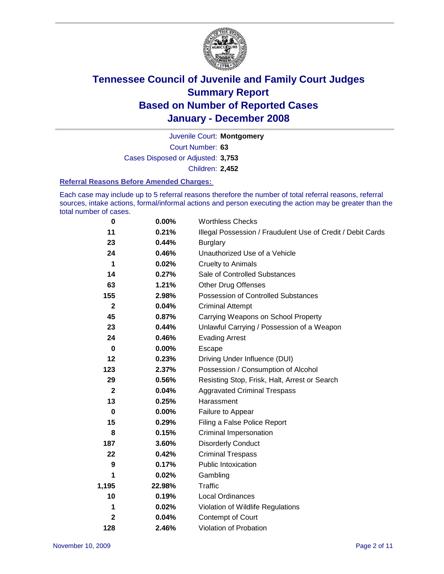

Court Number: **63** Juvenile Court: **Montgomery** Cases Disposed or Adjusted: **3,753** Children: **2,452**

#### **Referral Reasons Before Amended Charges:**

Each case may include up to 5 referral reasons therefore the number of total referral reasons, referral sources, intake actions, formal/informal actions and person executing the action may be greater than the total number of cases.

| 0            | 0.00%  | <b>Worthless Checks</b>                                     |
|--------------|--------|-------------------------------------------------------------|
| 11           | 0.21%  | Illegal Possession / Fraudulent Use of Credit / Debit Cards |
| 23           | 0.44%  | <b>Burglary</b>                                             |
| 24           | 0.46%  | Unauthorized Use of a Vehicle                               |
| 1            | 0.02%  | <b>Cruelty to Animals</b>                                   |
| 14           | 0.27%  | Sale of Controlled Substances                               |
| 63           | 1.21%  | <b>Other Drug Offenses</b>                                  |
| 155          | 2.98%  | <b>Possession of Controlled Substances</b>                  |
| $\mathbf{2}$ | 0.04%  | <b>Criminal Attempt</b>                                     |
| 45           | 0.87%  | Carrying Weapons on School Property                         |
| 23           | 0.44%  | Unlawful Carrying / Possession of a Weapon                  |
| 24           | 0.46%  | <b>Evading Arrest</b>                                       |
| $\bf{0}$     | 0.00%  | Escape                                                      |
| 12           | 0.23%  | Driving Under Influence (DUI)                               |
| 123          | 2.37%  | Possession / Consumption of Alcohol                         |
| 29           | 0.56%  | Resisting Stop, Frisk, Halt, Arrest or Search               |
| $\mathbf{2}$ | 0.04%  | <b>Aggravated Criminal Trespass</b>                         |
| 13           | 0.25%  | Harassment                                                  |
| 0            | 0.00%  | Failure to Appear                                           |
| 15           | 0.29%  | Filing a False Police Report                                |
| 8            | 0.15%  | Criminal Impersonation                                      |
| 187          | 3.60%  | <b>Disorderly Conduct</b>                                   |
| 22           | 0.42%  | <b>Criminal Trespass</b>                                    |
| 9            | 0.17%  | <b>Public Intoxication</b>                                  |
| 1            | 0.02%  | Gambling                                                    |
| 1,195        | 22.98% | <b>Traffic</b>                                              |
| 10           | 0.19%  | Local Ordinances                                            |
| 1            | 0.02%  | Violation of Wildlife Regulations                           |
| $\mathbf{2}$ | 0.04%  | Contempt of Court                                           |
| 128          | 2.46%  | Violation of Probation                                      |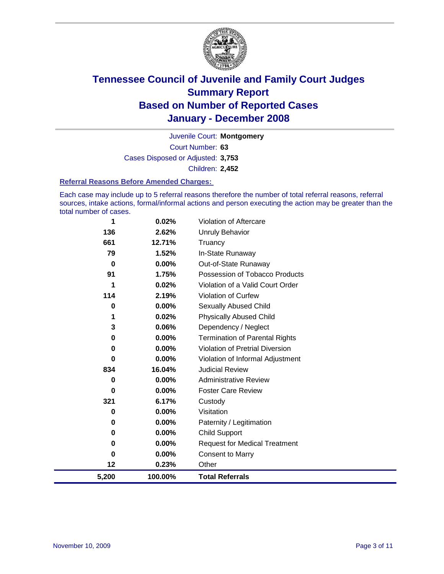

Court Number: **63** Juvenile Court: **Montgomery** Cases Disposed or Adjusted: **3,753** Children: **2,452**

#### **Referral Reasons Before Amended Charges:**

Each case may include up to 5 referral reasons therefore the number of total referral reasons, referral sources, intake actions, formal/informal actions and person executing the action may be greater than the total number of cases.

| 1        | 0.02%   | Violation of Aftercare                 |
|----------|---------|----------------------------------------|
| 136      | 2.62%   | <b>Unruly Behavior</b>                 |
| 661      | 12.71%  | Truancy                                |
| 79       | 1.52%   | In-State Runaway                       |
| 0        | 0.00%   | Out-of-State Runaway                   |
| 91       | 1.75%   | Possession of Tobacco Products         |
| 1        | 0.02%   | Violation of a Valid Court Order       |
| 114      | 2.19%   | Violation of Curfew                    |
| $\bf{0}$ | 0.00%   | <b>Sexually Abused Child</b>           |
| 1        | 0.02%   | <b>Physically Abused Child</b>         |
| 3        | 0.06%   | Dependency / Neglect                   |
| 0        | 0.00%   | <b>Termination of Parental Rights</b>  |
| 0        | 0.00%   | <b>Violation of Pretrial Diversion</b> |
| 0        | 0.00%   | Violation of Informal Adjustment       |
| 834      | 16.04%  | <b>Judicial Review</b>                 |
| 0        | 0.00%   | <b>Administrative Review</b>           |
| 0        | 0.00%   | <b>Foster Care Review</b>              |
| 321      | 6.17%   | Custody                                |
| 0        | 0.00%   | Visitation                             |
| $\bf{0}$ | 0.00%   | Paternity / Legitimation               |
| 0        | 0.00%   | <b>Child Support</b>                   |
| 0        | 0.00%   | <b>Request for Medical Treatment</b>   |
| 0        | 0.00%   | <b>Consent to Marry</b>                |
| 12       | 0.23%   | Other                                  |
| 5,200    | 100.00% | <b>Total Referrals</b>                 |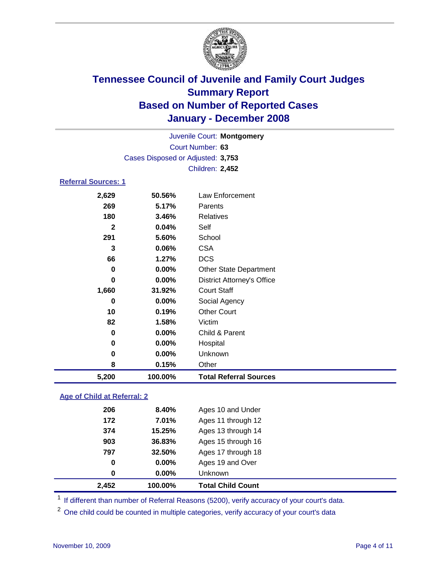

Court Number: **63** Juvenile Court: **Montgomery** Cases Disposed or Adjusted: **3,753** Children: **2,452**

### **Referral Sources: 1**

| 5,200        | 100.00%  | <b>Total Referral Sources</b>     |
|--------------|----------|-----------------------------------|
| 8            | 0.15%    | Other                             |
| $\bf{0}$     | 0.00%    | Unknown                           |
| $\bf{0}$     | 0.00%    | Hospital                          |
| 0            | 0.00%    | Child & Parent                    |
| 82           | 1.58%    | Victim                            |
| 10           | 0.19%    | <b>Other Court</b>                |
| 0            | $0.00\%$ | Social Agency                     |
| 1,660        | 31.92%   | <b>Court Staff</b>                |
| $\bf{0}$     | $0.00\%$ | <b>District Attorney's Office</b> |
| 0            | 0.00%    | <b>Other State Department</b>     |
| 66           | 1.27%    | <b>DCS</b>                        |
| 3            | 0.06%    | <b>CSA</b>                        |
| 291          | 5.60%    | School                            |
| $\mathbf{2}$ | 0.04%    | Self                              |
| 180          | 3.46%    | Relatives                         |
| 269          | 5.17%    | Parents                           |
| 2,629        | 50.56%   | Law Enforcement                   |
|              |          |                                   |

### **Age of Child at Referral: 2**

| 2,452 | 100.00%  | <b>Total Child Count</b> |
|-------|----------|--------------------------|
| 0     | $0.00\%$ | <b>Unknown</b>           |
| 0     | $0.00\%$ | Ages 19 and Over         |
| 797   | 32.50%   | Ages 17 through 18       |
| 903   | 36.83%   | Ages 15 through 16       |
| 374   | 15.25%   | Ages 13 through 14       |
| 172   | 7.01%    | Ages 11 through 12       |
| 206   | 8.40%    | Ages 10 and Under        |
|       |          |                          |

<sup>1</sup> If different than number of Referral Reasons (5200), verify accuracy of your court's data.

<sup>2</sup> One child could be counted in multiple categories, verify accuracy of your court's data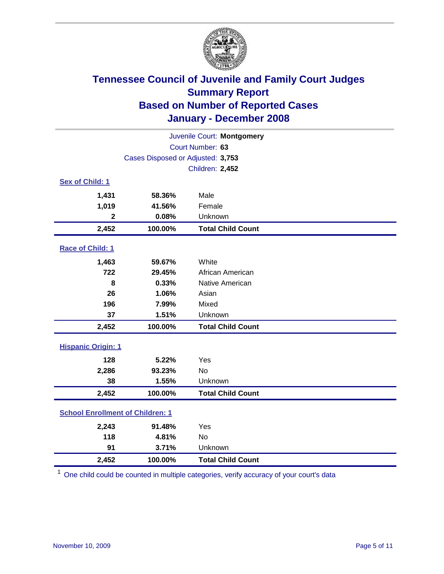

| Juvenile Court: Montgomery              |                                   |                          |  |  |  |
|-----------------------------------------|-----------------------------------|--------------------------|--|--|--|
| Court Number: 63                        |                                   |                          |  |  |  |
|                                         | Cases Disposed or Adjusted: 3,753 |                          |  |  |  |
|                                         |                                   | Children: 2,452          |  |  |  |
| Sex of Child: 1                         |                                   |                          |  |  |  |
| 1,431                                   | 58.36%                            | Male                     |  |  |  |
| 1,019                                   | 41.56%                            | Female                   |  |  |  |
| $\mathbf 2$                             | 0.08%                             | Unknown                  |  |  |  |
| 2,452                                   | 100.00%                           | <b>Total Child Count</b> |  |  |  |
| Race of Child: 1                        |                                   |                          |  |  |  |
| 1,463                                   | 59.67%                            | White                    |  |  |  |
| 722                                     | 29.45%                            | African American         |  |  |  |
| 8                                       | 0.33%                             | Native American          |  |  |  |
| 26                                      | 1.06%                             | Asian                    |  |  |  |
| 196                                     | 7.99%                             | Mixed                    |  |  |  |
| 37                                      | 1.51%                             | Unknown                  |  |  |  |
| 2,452                                   | 100.00%                           | <b>Total Child Count</b> |  |  |  |
| <b>Hispanic Origin: 1</b>               |                                   |                          |  |  |  |
| 128                                     | 5.22%                             | Yes                      |  |  |  |
| 2,286                                   | 93.23%                            | No                       |  |  |  |
| 38                                      | 1.55%                             | Unknown                  |  |  |  |
| 2,452                                   | 100.00%                           | <b>Total Child Count</b> |  |  |  |
| <b>School Enrollment of Children: 1</b> |                                   |                          |  |  |  |
| 2,243                                   | 91.48%                            | Yes                      |  |  |  |
| 118                                     | 4.81%                             | No                       |  |  |  |
| 91                                      | 3.71%                             | Unknown                  |  |  |  |
| 2,452                                   | 100.00%                           | <b>Total Child Count</b> |  |  |  |

<sup>1</sup> One child could be counted in multiple categories, verify accuracy of your court's data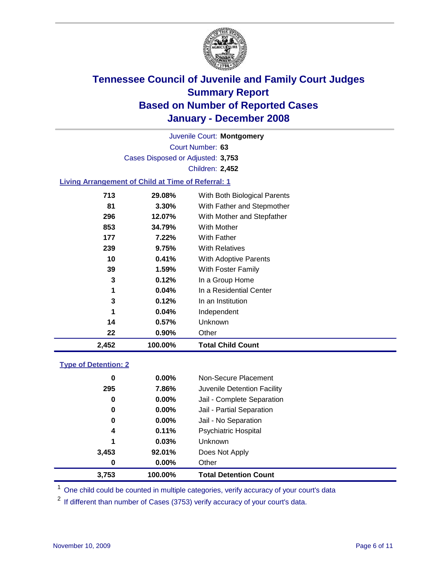

Court Number: **63** Juvenile Court: **Montgomery** Cases Disposed or Adjusted: **3,753** Children: **2,452**

### **Living Arrangement of Child at Time of Referral: 1**

| 2,452 | 100.00%  | <b>Total Child Count</b>     |
|-------|----------|------------------------------|
| 22    | $0.90\%$ | Other                        |
| 14    | 0.57%    | <b>Unknown</b>               |
| 1     | 0.04%    | Independent                  |
| 3     | 0.12%    | In an Institution            |
| 1     | 0.04%    | In a Residential Center      |
| 3     | 0.12%    | In a Group Home              |
| 39    | $1.59\%$ | With Foster Family           |
| 10    | 0.41%    | With Adoptive Parents        |
| 239   | 9.75%    | <b>With Relatives</b>        |
| 177   | 7.22%    | <b>With Father</b>           |
| 853   | 34.79%   | With Mother                  |
| 296   | 12.07%   | With Mother and Stepfather   |
| 81    | $3.30\%$ | With Father and Stepmother   |
| 713   | 29.08%   | With Both Biological Parents |

#### **Type of Detention: 2**

| 3,753 | 100.00%  | <b>Total Detention Count</b> |
|-------|----------|------------------------------|
| 0     | $0.00\%$ | Other                        |
| 3,453 | 92.01%   | Does Not Apply               |
| 1     | 0.03%    | <b>Unknown</b>               |
| 4     | 0.11%    | <b>Psychiatric Hospital</b>  |
| 0     | 0.00%    | Jail - No Separation         |
| 0     | $0.00\%$ | Jail - Partial Separation    |
| 0     | $0.00\%$ | Jail - Complete Separation   |
| 295   | 7.86%    | Juvenile Detention Facility  |
| 0     | $0.00\%$ | Non-Secure Placement         |
|       |          |                              |

<sup>1</sup> One child could be counted in multiple categories, verify accuracy of your court's data

<sup>2</sup> If different than number of Cases (3753) verify accuracy of your court's data.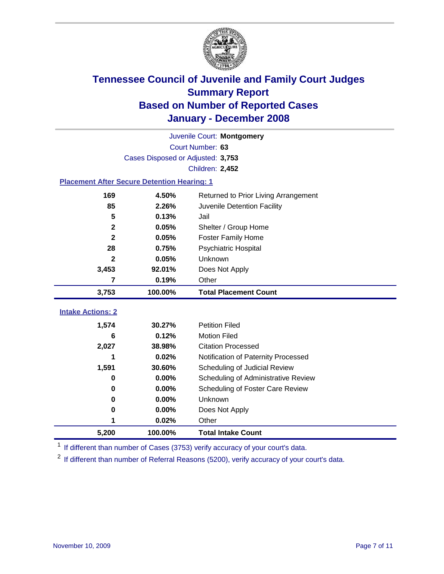

|                                                    | Juvenile Court: Montgomery        |                                      |  |  |  |  |
|----------------------------------------------------|-----------------------------------|--------------------------------------|--|--|--|--|
|                                                    | Court Number: 63                  |                                      |  |  |  |  |
|                                                    | Cases Disposed or Adjusted: 3,753 |                                      |  |  |  |  |
|                                                    | Children: 2,452                   |                                      |  |  |  |  |
| <b>Placement After Secure Detention Hearing: 1</b> |                                   |                                      |  |  |  |  |
| 169                                                | 4.50%                             | Returned to Prior Living Arrangement |  |  |  |  |
| 85                                                 | 2.26%                             | Juvenile Detention Facility          |  |  |  |  |
| 5                                                  | 0.13%                             | Jail                                 |  |  |  |  |
| $\mathbf{2}$                                       | 0.05%                             | Shelter / Group Home                 |  |  |  |  |
| $\overline{\mathbf{2}}$                            | 0.05%                             | <b>Foster Family Home</b>            |  |  |  |  |
| 28                                                 | 0.75%                             | Psychiatric Hospital                 |  |  |  |  |
| $\mathbf{2}$                                       | 0.05%                             | Unknown                              |  |  |  |  |
| 3,453                                              | 92.01%                            | Does Not Apply                       |  |  |  |  |
| 7                                                  | 0.19%                             | Other                                |  |  |  |  |
| 3,753                                              | 100.00%                           | <b>Total Placement Count</b>         |  |  |  |  |
| <b>Intake Actions: 2</b>                           |                                   |                                      |  |  |  |  |
|                                                    |                                   |                                      |  |  |  |  |
| 1,574                                              | 30.27%                            | <b>Petition Filed</b>                |  |  |  |  |
| 6                                                  | 0.12%                             | <b>Motion Filed</b>                  |  |  |  |  |
| 2,027                                              | 38.98%                            | <b>Citation Processed</b>            |  |  |  |  |
|                                                    | 0.02%                             | Notification of Paternity Processed  |  |  |  |  |
| 1,591                                              | 30.60%                            | Scheduling of Judicial Review        |  |  |  |  |
| 0                                                  | 0.00%                             | Scheduling of Administrative Review  |  |  |  |  |
| 0                                                  | 0.00%                             | Scheduling of Foster Care Review     |  |  |  |  |
| 0                                                  | 0.00%                             | Unknown                              |  |  |  |  |
| 0                                                  | 0.00%                             | Does Not Apply                       |  |  |  |  |
| 1                                                  | 0.02%                             | Other                                |  |  |  |  |
| 5,200                                              | 100.00%                           | <b>Total Intake Count</b>            |  |  |  |  |

<sup>1</sup> If different than number of Cases (3753) verify accuracy of your court's data.

<sup>2</sup> If different than number of Referral Reasons (5200), verify accuracy of your court's data.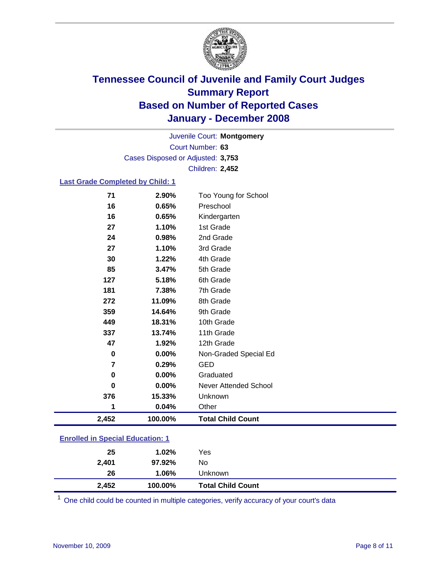

Court Number: **63** Juvenile Court: **Montgomery** Cases Disposed or Adjusted: **3,753** Children: **2,452**

#### **Last Grade Completed by Child: 1**

| 2,452          | 100.00% | <b>Total Child Count</b> |
|----------------|---------|--------------------------|
| 1              | 0.04%   | Other                    |
| 376            | 15.33%  | Unknown                  |
| $\bf{0}$       | 0.00%   | Never Attended School    |
| $\mathbf 0$    | 0.00%   | Graduated                |
| $\overline{7}$ | 0.29%   | <b>GED</b>               |
| $\bf{0}$       | 0.00%   | Non-Graded Special Ed    |
| 47             | 1.92%   | 12th Grade               |
| 337            | 13.74%  | 11th Grade               |
| 449            | 18.31%  | 10th Grade               |
| 359            | 14.64%  | 9th Grade                |
| 272            | 11.09%  | 8th Grade                |
| 181            | 7.38%   | 7th Grade                |
| 127            | 5.18%   | 6th Grade                |
| 85             | 3.47%   | 5th Grade                |
| 30             | 1.22%   | 4th Grade                |
| 27             | 1.10%   | 3rd Grade                |
| 24             | 0.98%   | 2nd Grade                |
| 27             | 1.10%   | 1st Grade                |
| 16             | 0.65%   | Kindergarten             |
| 16             | 0.65%   | Preschool                |
| 71             | 2.90%   | Too Young for School     |

### **Enrolled in Special Education: 1**

| 26    | 1.06%   | Unknown                  |  |
|-------|---------|--------------------------|--|
| 2,452 | 100.00% | <b>Total Child Count</b> |  |

<sup>1</sup> One child could be counted in multiple categories, verify accuracy of your court's data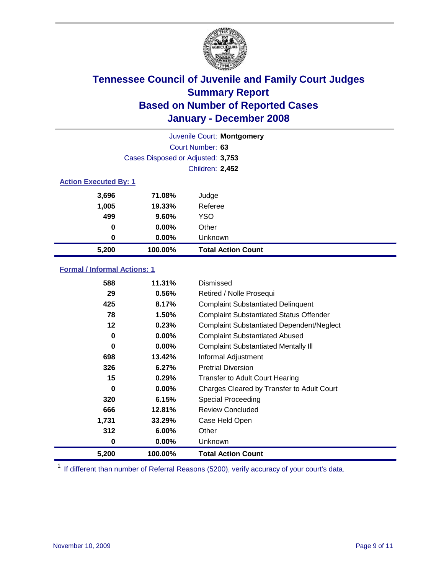

| Juvenile Court: Montgomery   |                                   |                           |  |  |  |
|------------------------------|-----------------------------------|---------------------------|--|--|--|
|                              | Court Number: 63                  |                           |  |  |  |
|                              | Cases Disposed or Adjusted: 3,753 |                           |  |  |  |
|                              | Children: 2,452                   |                           |  |  |  |
| <b>Action Executed By: 1</b> |                                   |                           |  |  |  |
| 3,696                        | 71.08%                            | Judge                     |  |  |  |
| 1,005                        | 19.33%                            | Referee                   |  |  |  |
| 499                          | 9.60%                             | <b>YSO</b>                |  |  |  |
| 0                            | $0.00\%$                          | Other                     |  |  |  |
| 0                            | $0.00\%$                          | Unknown                   |  |  |  |
| 5,200                        | 100.00%                           | <b>Total Action Count</b> |  |  |  |

### **Formal / Informal Actions: 1**

| 588   | 11.31%   | Dismissed                                        |
|-------|----------|--------------------------------------------------|
| 29    | 0.56%    | Retired / Nolle Prosequi                         |
| 425   | 8.17%    | <b>Complaint Substantiated Delinquent</b>        |
| 78    | 1.50%    | <b>Complaint Substantiated Status Offender</b>   |
| 12    | 0.23%    | <b>Complaint Substantiated Dependent/Neglect</b> |
| 0     | $0.00\%$ | <b>Complaint Substantiated Abused</b>            |
| 0     | $0.00\%$ | <b>Complaint Substantiated Mentally III</b>      |
| 698   | 13.42%   | Informal Adjustment                              |
| 326   | 6.27%    | <b>Pretrial Diversion</b>                        |
| 15    | 0.29%    | <b>Transfer to Adult Court Hearing</b>           |
| 0     | $0.00\%$ | Charges Cleared by Transfer to Adult Court       |
| 320   | 6.15%    | Special Proceeding                               |
| 666   | 12.81%   | <b>Review Concluded</b>                          |
| 1,731 | 33.29%   | Case Held Open                                   |
| 312   | 6.00%    | Other                                            |
| 0     | $0.00\%$ | <b>Unknown</b>                                   |
| 5,200 | 100.00%  | <b>Total Action Count</b>                        |

<sup>1</sup> If different than number of Referral Reasons (5200), verify accuracy of your court's data.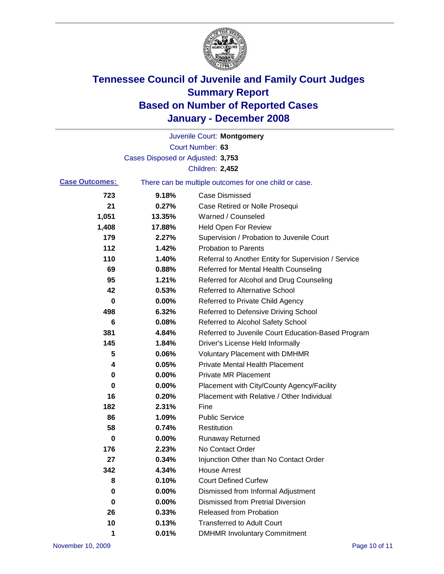

|                       |                                   | Juvenile Court: Montgomery                            |
|-----------------------|-----------------------------------|-------------------------------------------------------|
|                       |                                   | Court Number: 63                                      |
|                       | Cases Disposed or Adjusted: 3,753 |                                                       |
|                       |                                   | Children: 2,452                                       |
| <b>Case Outcomes:</b> |                                   | There can be multiple outcomes for one child or case. |
| 723                   | 9.18%                             | Case Dismissed                                        |
| 21                    | 0.27%                             | Case Retired or Nolle Prosequi                        |
| 1,051                 | 13.35%                            | Warned / Counseled                                    |
| 1,408                 | 17.88%                            | <b>Held Open For Review</b>                           |
| 179                   | 2.27%                             | Supervision / Probation to Juvenile Court             |
| 112                   | 1.42%                             | <b>Probation to Parents</b>                           |
| 110                   | 1.40%                             | Referral to Another Entity for Supervision / Service  |
| 69                    | 0.88%                             | Referred for Mental Health Counseling                 |
| 95                    | 1.21%                             | Referred for Alcohol and Drug Counseling              |
| 42                    | 0.53%                             | <b>Referred to Alternative School</b>                 |
| 0                     | 0.00%                             | Referred to Private Child Agency                      |
| 498                   | 6.32%                             | Referred to Defensive Driving School                  |
| 6                     | 0.08%                             | Referred to Alcohol Safety School                     |
| 381                   | 4.84%                             | Referred to Juvenile Court Education-Based Program    |
| 145                   | 1.84%                             | Driver's License Held Informally                      |
| 5                     | 0.06%                             | <b>Voluntary Placement with DMHMR</b>                 |
| 4                     | 0.05%                             | <b>Private Mental Health Placement</b>                |
| 0                     | 0.00%                             | <b>Private MR Placement</b>                           |
| 0                     | 0.00%                             | Placement with City/County Agency/Facility            |
| 16                    | 0.20%                             | Placement with Relative / Other Individual            |
| 182                   | 2.31%                             | Fine                                                  |
| 86                    | 1.09%                             | <b>Public Service</b>                                 |
| 58                    | 0.74%                             | Restitution                                           |
| 0                     | 0.00%                             | <b>Runaway Returned</b>                               |
| 176                   | 2.23%                             | No Contact Order                                      |
| 27                    | 0.34%                             | Injunction Other than No Contact Order                |
| 342                   | 4.34%                             | <b>House Arrest</b>                                   |
| 8                     | 0.10%                             | <b>Court Defined Curfew</b>                           |
| 0                     | 0.00%                             | Dismissed from Informal Adjustment                    |
| 0                     | 0.00%                             | <b>Dismissed from Pretrial Diversion</b>              |
| 26                    | 0.33%                             | Released from Probation                               |
| 10                    | 0.13%                             | <b>Transferred to Adult Court</b>                     |
| 1                     | 0.01%                             | <b>DMHMR Involuntary Commitment</b>                   |